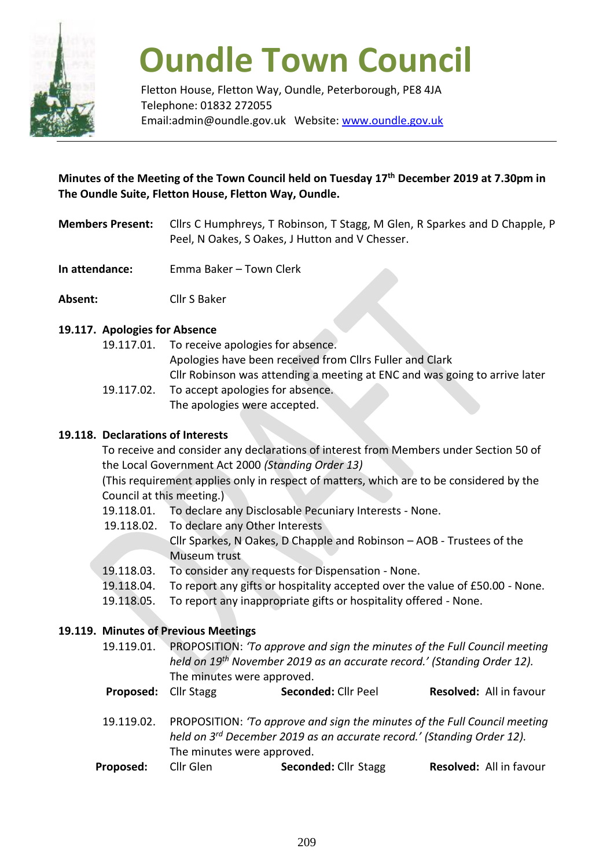

# **Oundle Town Council**

Fletton House, Fletton Way, Oundle, Peterborough, PE8 4JA Telephone: 01832 272055 Email:admin@oundle.gov.uk Website: [www.oundle.gov.uk](http://www.oundle.gov.uk/)

# **Minutes of the Meeting of the Town Council held on Tuesday 17 th December 2019 at 7.30pm in The Oundle Suite, Fletton House, Fletton Way, Oundle.**

- **Members Present:** Cllrs C Humphreys, T Robinson, T Stagg, M Glen, R Sparkes and D Chapple, P Peel, N Oakes, S Oakes, J Hutton and V Chesser.
- **In attendance:** Emma Baker Town Clerk
- **Absent:** Cllr S Baker

# **19.117. Apologies for Absence**

19.117.01. To receive apologies for absence. Apologies have been received from Cllrs Fuller and Clark Cllr Robinson was attending a meeting at ENC and was going to arrive later 19.117.02. To accept apologies for absence.

The apologies were accepted.

## **19.118. Declarations of Interests**

To receive and consider any declarations of interest from Members under Section 50 of the Local Government Act 2000 *(Standing Order 13)*

(This requirement applies only in respect of matters, which are to be considered by the Council at this meeting.)

- 19.118.01. To declare any Disclosable Pecuniary Interests None.
- 19.118.02. To declare any Other Interests
	- Cllr Sparkes, N Oakes, D Chapple and Robinson AOB Trustees of the Museum trust
- 19.118.03. To consider any requests for Dispensation None.
- 19.118.04. To report any gifts or hospitality accepted over the value of £50.00 None.
- 19.118.05. To report any inappropriate gifts or hospitality offered None.

# **19.119. Minutes of Previous Meetings**

- 19.119.01. PROPOSITION: *'To approve and sign the minutes of the Full Council meeting held on 19 th November 2019 as an accurate record.' (Standing Order 12).*  The minutes were approved.
- **Proposed:** Cllr Stagg **Seconded:** Cllr Peel **Resolved:** All in favour
- 19.119.02. PROPOSITION: *'To approve and sign the minutes of the Full Council meeting held on 3 rd December 2019 as an accurate record.' (Standing Order 12).*  The minutes were approved.
- **Proposed:** Cllr Glen **Seconded:** Cllr Stagg **Resolved:** All in favour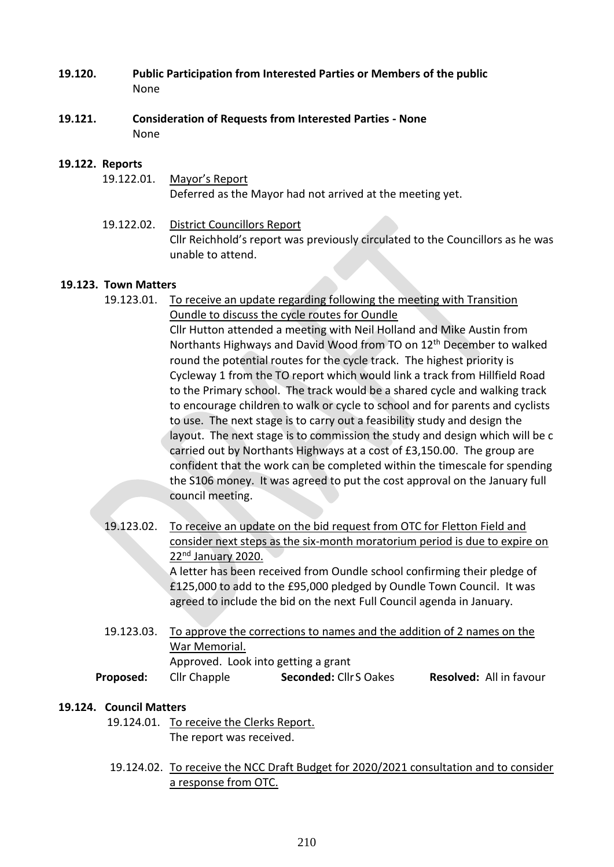- **19.120. Public Participation from Interested Parties or Members of the public** None
- **19.121. Consideration of Requests from Interested Parties - None** None

#### **19.122. Reports**

- 19.122.01. Mayor's Report Deferred as the Mayor had not arrived at the meeting yet.
- 19.122.02. District Councillors Report Cllr Reichhold's report was previously circulated to the Councillors as he was unable to attend.

#### **19.123. Town Matters**

19.123.01. To receive an update regarding following the meeting with Transition Oundle to discuss the cycle routes for Oundle Cllr Hutton attended a meeting with Neil Holland and Mike Austin from Northants Highways and David Wood from TO on 12th December to walked round the potential routes for the cycle track. The highest priority is

Cycleway 1 from the TO report which would link a track from Hillfield Road to the Primary school. The track would be a shared cycle and walking track to encourage children to walk or cycle to school and for parents and cyclists to use. The next stage is to carry out a feasibility study and design the layout. The next stage is to commission the study and design which will be c carried out by Northants Highways at a cost of £3,150.00. The group are confident that the work can be completed within the timescale for spending the S106 money. It was agreed to put the cost approval on the January full council meeting.

- 19.123.02. To receive an update on the bid request from OTC for Fletton Field and consider next steps as the six-month moratorium period is due to expire on 22nd January 2020. A letter has been received from Oundle school confirming their pledge of £125,000 to add to the £95,000 pledged by Oundle Town Council. It was agreed to include the bid on the next Full Council agenda in January.
- 19.123.03. To approve the corrections to names and the addition of 2 names on the War Memorial. Approved. Look into getting a grant **Proposed:** Cllr Chapple **Seconded:** CllrS Oakes **Resolved:** All in favour

#### **19.124. Council Matters**

- 19.124.01. To receive the Clerks Report. The report was received.
- 19.124.02. To receive the NCC Draft Budget for 2020/2021 consultation and to consider a response from OTC.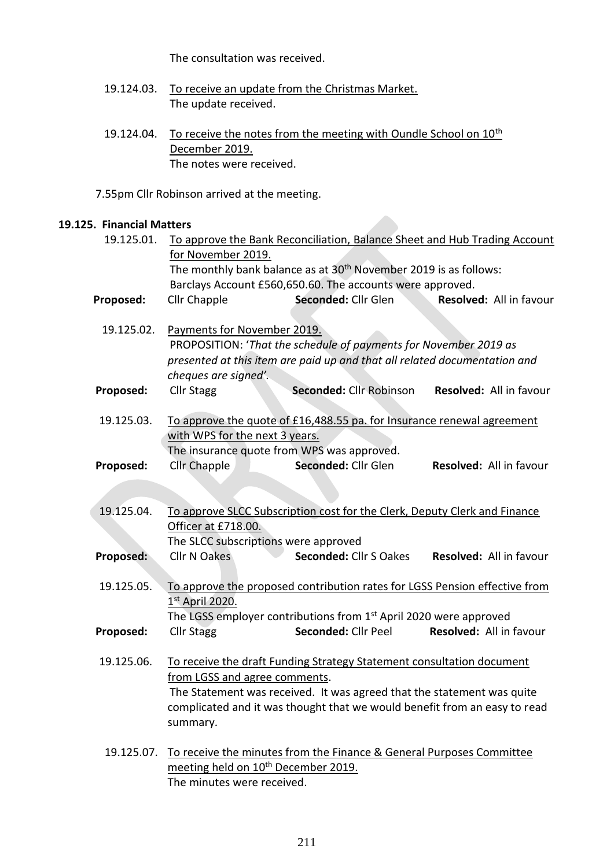The consultation was received.

- 19.124.03. To receive an update from the Christmas Market. The update received.
- 19.124.04. To receive the notes from the meeting with Oundle School on 10<sup>th</sup> December 2019. The notes were received.

7.55pm Cllr Robinson arrived at the meeting.

### **19.125. Financial Matters**

| 19.125.01. | To approve the Bank Reconciliation, Balance Sheet and Hub Trading Account  |                                                                               |                         |  |  |
|------------|----------------------------------------------------------------------------|-------------------------------------------------------------------------------|-------------------------|--|--|
|            | for November 2019.                                                         |                                                                               |                         |  |  |
|            | The monthly bank balance as at $30th$ November 2019 is as follows:         |                                                                               |                         |  |  |
|            | Barclays Account £560,650.60. The accounts were approved.                  |                                                                               |                         |  |  |
| Proposed:  | Cllr Chapple                                                               | Seconded: Cllr Glen                                                           | Resolved: All in favour |  |  |
|            |                                                                            |                                                                               |                         |  |  |
| 19.125.02. | Payments for November 2019.                                                |                                                                               |                         |  |  |
|            | PROPOSITION: 'That the schedule of payments for November 2019 as           |                                                                               |                         |  |  |
|            | presented at this item are paid up and that all related documentation and  |                                                                               |                         |  |  |
|            | cheques are signed'.                                                       |                                                                               |                         |  |  |
| Proposed:  | <b>Cllr Stagg</b>                                                          | Seconded: Cllr Robinson                                                       | Resolved: All in favour |  |  |
| 19.125.03. | To approve the quote of £16,488.55 pa. for Insurance renewal agreement     |                                                                               |                         |  |  |
|            | with WPS for the next 3 years.                                             |                                                                               |                         |  |  |
|            |                                                                            | The insurance quote from WPS was approved.                                    |                         |  |  |
| Proposed:  | Cllr Chapple                                                               | Seconded: Cllr Glen                                                           | Resolved: All in favour |  |  |
|            |                                                                            |                                                                               |                         |  |  |
| 19.125.04. | To approve SLCC Subscription cost for the Clerk, Deputy Clerk and Finance  |                                                                               |                         |  |  |
|            | Officer at £718.00.                                                        |                                                                               |                         |  |  |
|            |                                                                            | The SLCC subscriptions were approved                                          |                         |  |  |
| Proposed:  | <b>Cllr N Oakes</b>                                                        | Seconded: Cllr S Oakes                                                        | Resolved: All in favour |  |  |
|            |                                                                            |                                                                               |                         |  |  |
| 19.125.05. | To approve the proposed contribution rates for LGSS Pension effective from |                                                                               |                         |  |  |
|            | 1st April 2020.                                                            |                                                                               |                         |  |  |
|            |                                                                            | The LGSS employer contributions from 1 <sup>st</sup> April 2020 were approved |                         |  |  |
| Proposed:  | <b>Cllr Stagg</b>                                                          | Seconded: Cllr Peel                                                           | Resolved: All in favour |  |  |
|            |                                                                            |                                                                               |                         |  |  |
| 19.125.06. | To receive the draft Funding Strategy Statement consultation document      |                                                                               |                         |  |  |
|            | from LGSS and agree comments.                                              |                                                                               |                         |  |  |
|            | The Statement was received. It was agreed that the statement was quite     |                                                                               |                         |  |  |
|            | complicated and it was thought that we would benefit from an easy to read  |                                                                               |                         |  |  |
|            | summary.                                                                   |                                                                               |                         |  |  |
| 19.125.07. | To receive the minutes from the Finance & General Purposes Committee       |                                                                               |                         |  |  |
|            | meeting held on 10 <sup>th</sup> December 2019.                            |                                                                               |                         |  |  |

The minutes were received.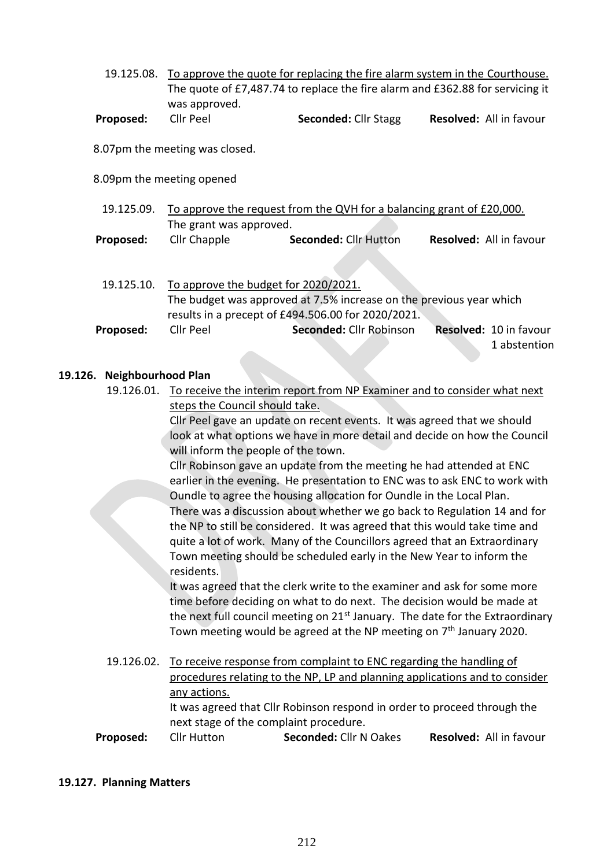|           | 19.125.08. To approve the quote for replacing the fire alarm system in the Courthouse. |                             |                                |  |
|-----------|----------------------------------------------------------------------------------------|-----------------------------|--------------------------------|--|
|           | The quote of £7,487.74 to replace the fire alarm and £362.88 for servicing it          |                             |                                |  |
|           | was approved.                                                                          |                             |                                |  |
| Proposed: | Cllr Peel                                                                              | <b>Seconded: Cllr Stagg</b> | <b>Resolved:</b> All in favour |  |

8.07pm the meeting was closed.

8.09pm the meeting opened

| 19.125.09. | To approve the request from the QVH for a balancing grant of £20,000. |                              |                                |  |
|------------|-----------------------------------------------------------------------|------------------------------|--------------------------------|--|
|            | The grant was approved.                                               |                              |                                |  |
| Proposed:  | Cllr Chapple                                                          | <b>Seconded: Cllr Hutton</b> | <b>Resolved: All in favour</b> |  |

| 19.125.10. |                                                                     | To approve the budget for 2020/2021. |  |                        |
|------------|---------------------------------------------------------------------|--------------------------------------|--|------------------------|
|            | The budget was approved at 7.5% increase on the previous year which |                                      |  |                        |
|            | results in a precept of £494.506.00 for 2020/2021.                  |                                      |  |                        |
| Proposed:  | Cllr Peel                                                           | Seconded: Cllr Robinson              |  | Resolved: 10 in favour |
|            |                                                                     |                                      |  | 1 abstention           |

#### **19.126. Neighbourhood Plan**

19.126.01. To receive the interim report from NP Examiner and to consider what next steps the Council should take.

> Cllr Peel gave an update on recent events. It was agreed that we should look at what options we have in more detail and decide on how the Council will inform the people of the town.

> Cllr Robinson gave an update from the meeting he had attended at ENC earlier in the evening. He presentation to ENC was to ask ENC to work with Oundle to agree the housing allocation for Oundle in the Local Plan. There was a discussion about whether we go back to Regulation 14 and for the NP to still be considered. It was agreed that this would take time and quite a lot of work. Many of the Councillors agreed that an Extraordinary Town meeting should be scheduled early in the New Year to inform the residents.

It was agreed that the clerk write to the examiner and ask for some more time before deciding on what to do next. The decision would be made at the next full council meeting on  $21<sup>st</sup>$  January. The date for the Extraordinary Town meeting would be agreed at the NP meeting on  $7<sup>th</sup>$  January 2020.

19.126.02. To receive response from complaint to ENC regarding the handling of procedures relating to the NP, LP and planning applications and to consider any actions. It was agreed that Cllr Robinson respond in order to proceed through the next stage of the complaint procedure.

**Proposed:** Cllr Hutton **Seconded:** Cllr N Oakes **Resolved:** All in favour

#### **19.127. Planning Matters**